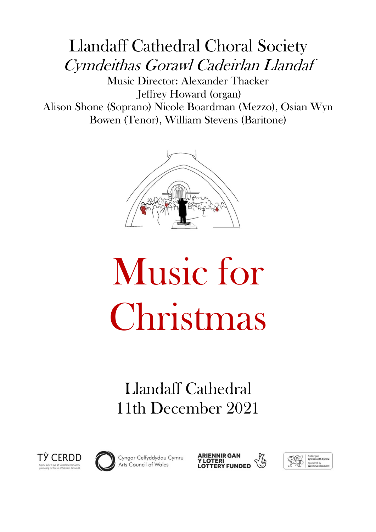# Llandaff Cathedral Choral Society Cymdeithas Gorawl Cadeirlan Llandaf

Music Director: Alexander Thacker Jeffrey Howard (organ) Alison Shone (Soprano) Nicole Boardman (Mezzo), Osian Wyn Bowen (Tenor), William Stevens (Baritone)



# Music for Christmas

# Llandaff Cathedral 11th December 2021





Cyngor Celfyddydau Cymru<br>Arts Council of Wales



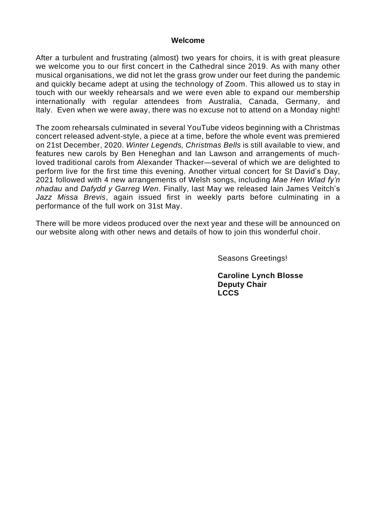#### **Welcome**

After a turbulent and frustrating (almost) two years for choirs, it is with great pleasure we welcome you to our first concert in the Cathedral since 2019. As with many other musical organisations, we did not let the grass grow under our feet during the pandemic and quickly became adept at using the technology of Zoom. This allowed us to stay in touch with our weekly rehearsals and we were even able to expand our membership internationally with regular attendees from Australia, Canada, Germany, and Italy. Even when we were away, there was no excuse not to attend on a Monday night!

The zoom rehearsals culminated in several YouTube videos beginning with a Christmas concert released advent-style, a piece at a time, before the whole event was premiered on 21st December, 2020. *Winter Legends, Christmas Bells* is still available to view, and features new carols by Ben Heneghan and Ian Lawson and arrangements of muchloved traditional carols from Alexander Thacker—several of which we are delighted to perform live for the first time this evening. Another virtual concert for St David's Day, 2021 followed with 4 new arrangements of Welsh songs, including *Mae Hen Wlad fy'n nhadau* and *Dafydd y Garreg Wen*. Finally, last May we released Iain James Veitch's *Jazz Missa Brevis*, again issued first in weekly parts before culminating in a performance of the full work on 31st May.

There will be more videos produced over the next year and these will be announced on our website along with other news and details of how to join this wonderful choir.

Seasons Greetings!

**Caroline Lynch Blosse Deputy Chair LCCS**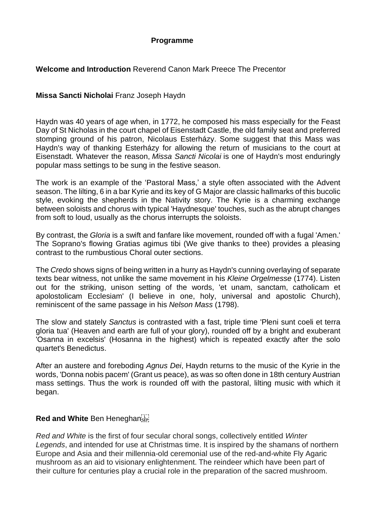#### **Programme**

#### **Welcome and Introduction** Reverend Canon Mark Preece The Precentor

#### **Missa Sancti Nicholai** Franz Joseph Haydn

Haydn was 40 years of age when, in 1772, he composed his mass especially for the Feast Day of St Nicholas in the court chapel of Eisenstadt Castle, the old family seat and preferred stomping ground of his patron, Nicolaus Esterházy. Some suggest that this Mass was Haydn's way of thanking Esterházy for allowing the return of musicians to the court at Eisenstadt. Whatever the reason, *Missa Sancti Nicolai* is one of Haydn's most enduringly popular mass settings to be sung in the festive season.

The work is an example of the ʻPastoral Mass,' a style often associated with the Advent season. The lilting, 6 in a bar Kyrie and its key of G Major are classic hallmarks of this bucolic style, evoking the shepherds in the Nativity story. The Kyrie is a charming exchange between soloists and chorus with typical 'Haydnesque' touches, such as the abrupt changes from soft to loud, usually as the chorus interrupts the soloists.

By contrast, the *Gloria* is a swift and fanfare like movement, rounded off with a fugal 'Amen.' The Soprano's flowing Gratias agimus tibi (We give thanks to thee) provides a pleasing contrast to the rumbustious Choral outer sections.

The *Credo* shows signs of being written in a hurry as Haydn's cunning overlaying of separate texts bear witness, not unlike the same movement in his *Kleine Orgelmesse* (1774). Listen out for the striking, unison setting of the words, 'et unam, sanctam, catholicam et apolostolicam Ecclesiam' (I believe in one, holy, universal and apostolic Church), reminiscent of the same passage in his *Nelson Mass* (1798).

The slow and stately *Sanctus* is contrasted with a fast, triple time 'Pleni sunt coeli et terra gloria tua' (Heaven and earth are full of your glory), rounded off by a bright and exuberant 'Osanna in excelsis' (Hosanna in the highest) which is repeated exactly after the solo quartet's Benedictus.

After an austere and foreboding *Agnus Dei*, Haydn returns to the music of the Kyrie in the words, 'Donna nobis pacem' (Grant us peace), as was so often done in 18th century Austrian mass settings. Thus the work is rounded off with the pastoral, lilting music with which it began.

#### **Red and White** Ben Heneghan

*Red and White* is the first of four secular choral songs, collectively entitled *Winter Legends*, and intended for use at Christmas time. It is inspired by the shamans of northern Europe and Asia and their millennia-old ceremonial use of the red-and-white Fly Agaric mushroom as an aid to visionary enlightenment. The reindeer which have been part of their culture for centuries play a crucial role in the preparation of the sacred mushroom.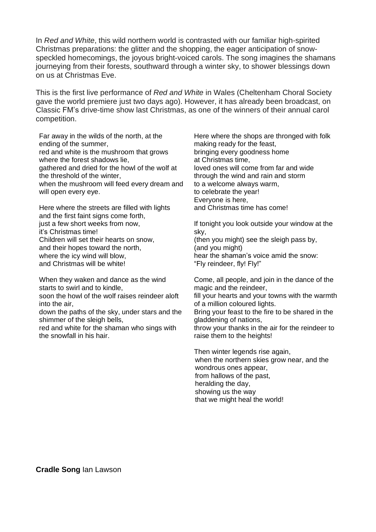In *Red and White*, this wild northern world is contrasted with our familiar high-spirited Christmas preparations: the glitter and the shopping, the eager anticipation of snowspeckled homecomings, the joyous bright-voiced carols. The song imagines the shamans journeying from their forests, southward through a winter sky, to shower blessings down on us at Christmas Eve.

This is the first live performance of *Red and White* in Wales (Cheltenham Choral Society gave the world premiere just two days ago). However, it has already been broadcast, on Classic FM's drive-time show last Christmas, as one of the winners of their annual carol competition.

Far away in the wilds of the north, at the ending of the summer, red and white is the mushroom that grows where the forest shadows lie, gathered and dried for the howl of the wolf at the threshold of the winter, when the mushroom will feed every dream and will open every eye.

Here where the streets are filled with lights and the first faint signs come forth, just a few short weeks from now, it's Christmas time! Children will set their hearts on snow, and their hopes toward the north, where the icy wind will blow, and Christmas will be white!

When they waken and dance as the wind starts to swirl and to kindle,

soon the howl of the wolf raises reindeer aloft into the air,

down the paths of the sky, under stars and the shimmer of the sleigh bells,

red and white for the shaman who sings with the snowfall in his hair.

Here where the shops are thronged with folk making ready for the feast, bringing every goodness home at Christmas time, loved ones will come from far and wide through the wind and rain and storm to a welcome always warm, to celebrate the year! Everyone is here, and Christmas time has come!

If tonight you look outside your window at the sky,

(then you might) see the sleigh pass by, (and you might) hear the shaman's voice amid the snow:

"Fly reindeer, fly! Fly!"

Come, all people, and join in the dance of the magic and the reindeer, fill your hearts and your towns with the warmth of a million coloured lights. Bring your feast to the fire to be shared in the gladdening of nations,

throw your thanks in the air for the reindeer to raise them to the heights!

Then winter legends rise again, when the northern skies grow near, and the wondrous ones appear, from hallows of the past, heralding the day, showing us the way that we might heal the world!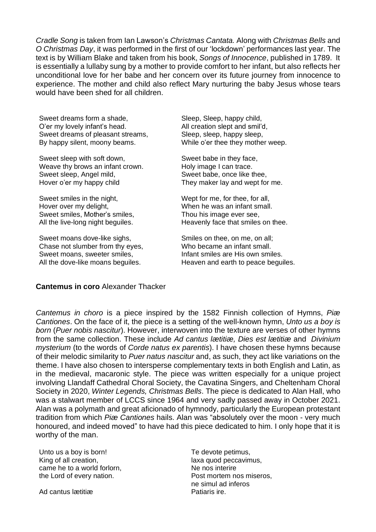*Cradle Song* is taken from Ian Lawson's *Christmas Cantata.* Along with *Christmas Bells* and *O Christmas Day*, it was performed in the first of our 'lockdown' performances last year. The text is by William Blake and taken from his book, *Songs of Innocence*, published in 1789. It is essentially a lullaby sung by a mother to provide comfort to her infant, but also reflects her unconditional love for her babe and her concern over its future journey from innocence to experience. The mother and child also reflect Mary nurturing the baby Jesus whose tears would have been shed for all children.

Sweet dreams form a shade, O'er my lovely infant's head. Sweet dreams of pleasant streams, By happy silent, moony beams.

Sweet sleep with soft down, Weave thy brows an infant crown. Sweet sleep, Angel mild, Hover o'er my happy child

Sweet smiles in the night, Hover over my delight, Sweet smiles, Mother's smiles, All the live-long night beguiles.

Sweet moans dove-like sighs, Chase not slumber from thy eyes, Sweet moans, sweeter smiles, All the dove-like moans beguiles.

Sleep, Sleep, happy child, All creation slept and smil'd, Sleep, sleep, happy sleep, While o'er thee they mother weep.

Sweet babe in they face, Holy image I can trace. Sweet babe, once like thee, They maker lay and wept for me.

Wept for me, for thee, for all, When he was an infant small. Thou his image ever see, Heavenly face that smiles on thee.

Smiles on thee, on me, on all; Who became an infant small. Infant smiles are His own smiles. Heaven and earth to peace beguiles.

#### **Cantemus in coro** Alexander Thacker

*Cantemus in choro* is a piece inspired by the 1582 Finnish collection of Hymns, *Piæ Cantiones*. On the face of it, the piece is a setting of the well-known hymn, *Unto us a boy is born* (*Puer nobis nascitur*). However, interwoven into the texture are verses of other hymns from the same collection. These include *Ad cantus lætitiæ, Dies est lætitiæ* and *Divinium mysterium* (to the words of *Corde natus ex parentis*). I have chosen these hymns because of their melodic similarity to *Puer natus nascitur* and, as such, they act like variations on the theme. I have also chosen to intersperse complementary texts in both English and Latin, as in the medieval, macaronic style. The piece was written especially for a unique project involving Llandaff Cathedral Choral Society, the Cavatina Singers, and Cheltenham Choral Society in 2020, *Winter Legends, Christmas Bells*. The piece is dedicated to Alan Hall, who was a stalwart member of LCCS since 1964 and very sadly passed away in October 2021. Alan was a polymath and great aficionado of hymnody, particularly the European protestant tradition from which *Piæ Cantiones* hails. Alan was "absolutely over the moon - very much honoured, and indeed moved" to have had this piece dedicated to him. I only hope that it is worthy of the man.

Unto us a boy is born! King of all creation, came he to a world forlorn, the Lord of every nation.

Ad cantus lætitiæ

Te devote petimus, laxa quod peccavimus, Ne nos interire Post mortem nos miseros, ne simul ad inferos Patiaris ire.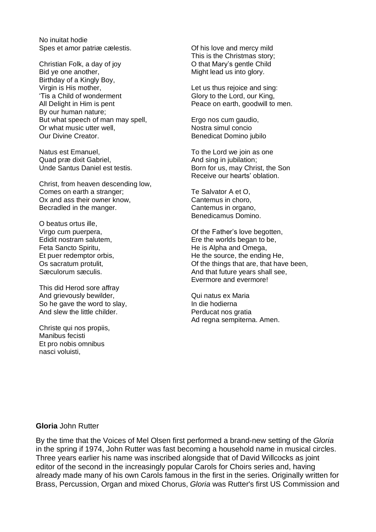No inuitat hodie Spes et amor patriæ cælestis.

Christian Folk, a day of joy Bid ye one another, Birthday of a Kingly Boy, Virgin is His mother, 'Tis a Child of wonderment All Delight in Him is pent By our human nature; But what speech of man may spell, Or what music utter well, Our Divine Creator.

Natus est Emanuel, Quad præ dixit Gabriel, Unde Santus Daniel est testis.

Christ, from heaven descending low, Comes on earth a stranger; Ox and ass their owner know, Becradled in the manger.

O beatus ortus ille, Virgo cum puerpera, Edidit nostram salutem, Feta Sancto Spiritu, Et puer redemptor orbis, Os sacratum protulit, Sæculorum sæculis.

This did Herod sore affray And grievously bewilder, So he gave the word to slay, And slew the little childer.

Christe qui nos propiis, Manibus fecisti Et pro nobis omnibus nasci voluisti,

Of his love and mercy mild This is the Christmas story; O that Mary's gentle Child Might lead us into glory.

Let us thus rejoice and sing: Glory to the Lord, our King, Peace on earth, goodwill to men.

Ergo nos cum gaudio, Nostra simul concio Benedicat Domino jubilo

To the Lord we join as one And sing in jubilation; Born for us, may Christ, the Son Receive our hearts' oblation.

Te Salvator A et O, Cantemus in choro, Cantemus in organo, Benedicamus Domino.

Of the Father's love begotten, Ere the worlds began to be, He is Alpha and Omega, He the source, the ending He, Of the things that are, that have been, And that future years shall see, Evermore and evermore!

Qui natus ex Maria In die hodierna Perducat nos gratia Ad regna sempiterna. Amen.

#### **Gloria** John Rutter

By the time that the Voices of Mel Olsen first performed a brand-new setting of the *Gloria* in the spring if 1974, John Rutter was fast becoming a household name in musical circles. Three years earlier his name was inscribed alongside that of David Willcocks as joint editor of the second in the increasingly popular Carols for Choirs series and, having already made many of his own Carols famous in the first in the series. Originally written for Brass, Percussion, Organ and mixed Chorus, *Gloria* was Rutter's first US Commission and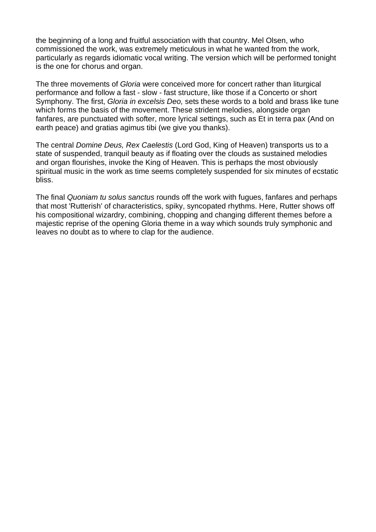the beginning of a long and fruitful association with that country. Mel Olsen, who commissioned the work, was extremely meticulous in what he wanted from the work, particularly as regards idiomatic vocal writing. The version which will be performed tonight is the one for chorus and organ.

The three movements of *Gloria* were conceived more for concert rather than liturgical performance and follow a fast - slow - fast structure, like those if a Concerto or short Symphony. The first, *Gloria in excelsis Deo,* sets these words to a bold and brass like tune which forms the basis of the movement. These strident melodies, alongside organ fanfares, are punctuated with softer, more lyrical settings, such as Et in terra pax (And on earth peace) and gratias agimus tibi (we give you thanks).

The central *Domine Deus, Rex Caelestis* (Lord God, King of Heaven) transports us to a state of suspended, tranquil beauty as if floating over the clouds as sustained melodies and organ flourishes, invoke the King of Heaven. This is perhaps the most obviously spiritual music in the work as time seems completely suspended for six minutes of ecstatic bliss.

The final *Quoniam tu solus sanctus* rounds off the work with fugues, fanfares and perhaps that most 'Rutterish' of characteristics, spiky, syncopated rhythms. Here, Rutter shows off his compositional wizardry, combining, chopping and changing different themes before a majestic reprise of the opening Gloria theme in a way which sounds truly symphonic and leaves no doubt as to where to clap for the audience.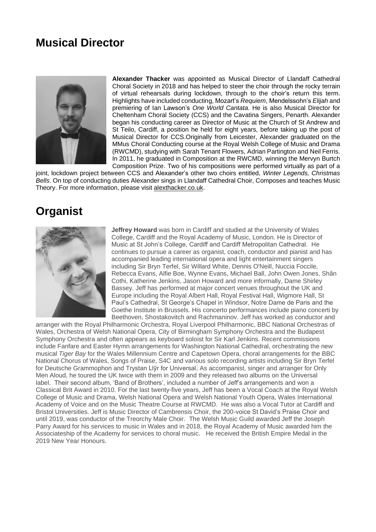## **Musical Director**



**Alexander Thacker** was appointed as Musical Director of Llandaff Cathedral Choral Society in 2018 and has helped to steer the choir through the rocky terrain of virtual rehearsals during lockdown, through to the choir's return this term. Highlights have included conducting, Mozart's *Requiem*, Mendelssohn's *Elijah* and premiering of Ian Lawson's *One World Cantata*. He is also Musical Director for Cheltenham Choral Society (CCS) and the Cavatina Singers, Penarth. Alexander began his conducting career as Director of Music at the Church of St Andrew and St Teilo, Cardiff, a position he held for eight years, before taking up the post of Musical Director for CCS.Originally from Leicester, Alexander graduated on the MMus Choral Conducting course at the Royal Welsh College of Music and Drama (RWCMD), studying with Sarah Tenant Flowers, Adrian Partington and Neil Ferris. In 2011, he graduated in Composition at the RWCMD, winning the Mervyn Burtch Composition Prize. Two of his compositions were performed virtually as part of a

joint, lockdown project between CCS and Alexander's other two choirs entitled, *Winter Legends, Christmas Bells*. On top of conducting duties Alexander sings in Llandaff Cathedral Choir, Composes and teaches Music Theory. For more information, please visit alexthacker.co.uk.

### **Organist**



**Jeffrey Howard** was born in Cardiff and studied at the University of Wales College, Cardiff and the Royal Academy of Music, London. He is Director of Music at St John's College, Cardiff and Cardiff Metropolitan Cathedral. He continues to pursue a career as organist, coach, conductor and pianist and has accompanied leading international opera and light entertainment singers including Sir Bryn Terfel, Sir Willard White, Dennis O'Neill, Nuccia Foccile, Rebecca Evans, Alfie Boe, Wynne Evans, Michael Ball, John Owen Jones, Shân Cothi, Katherine Jenkins, Jason Howard and more informally, Dame Shirley Bassey. Jeff has performed at major concert venues throughout the UK and Europe including the Royal Albert Hall, Royal Festival Hall, Wigmore Hall, St Paul's Cathedral, St George's Chapel in Windsor, Notre Dame de Paris and the Goethe Institute in Brussels. His concerto performances include piano concerti by Beethoven, Shostakovitch and Rachmaninov. Jeff has worked as conductor and

arranger with the Royal Philharmonic Orchestra, Royal Liverpool Philharmonic, BBC National Orchestras of Wales, Orchestra of Welsh National Opera, City of Birmingham Symphony Orchestra and the Budapest Symphony Orchestra and often appears as keyboard soloist for Sir Karl Jenkins. Recent commissions include Fanfare and Easter Hymn arrangements for Washington National Cathedral, orchestrating the new musical *Tiger Bay* for the Wales Millennium Centre and Capetown Opera, choral arrangements for the BBC National Chorus of Wales, Songs of Praise, S4C and various solo recording artists including Sir Bryn Terfel for Deutsche Grammophon and Trystan Llŷr for Universal. As accompanist, singer and arranger for Only Men Aloud, he toured the UK twice with them in 2009 and they released two albums on the Universal label. Their second album, 'Band of Brothers', included a number of Jeff's arrangements and won a Classical Brit Award in 2010. For the last twenty-five years, Jeff has been a Vocal Coach at the Royal Welsh College of Music and Drama, Welsh National Opera and Welsh National Youth Opera, Wales International Academy of Voice and on the Music Theatre Course at RWCMD. He was also a Vocal Tutor at Cardiff and Bristol Universities. Jeff is Music Director of Cambrensis Choir, the 200-voice St David's Praise Choir and until 2019, was conductor of the Treorchy Male Choir. The Welsh Music Guild awarded Jeff the Joseph Parry Award for his services to music in Wales and in 2018, the Royal Academy of Music awarded him the Associateship of the Academy for services to choral music. He received the British Empire Medal in the 2019 New Year Honours.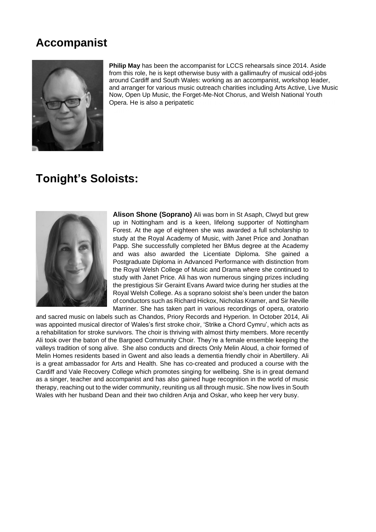## **Accompanist**



**Philip May** has been the accompanist for LCCS rehearsals since 2014. Aside from this role, he is kept otherwise busy with a gallimaufry of musical odd-jobs around Cardiff and South Wales: working as an accompanist, workshop leader, and arranger for various music outreach charities including Arts Active, Live Music Now, Open Up Music, the Forget-Me-Not Chorus, and Welsh National Youth Opera. He is also a peripatetic

# **Tonight's Soloists:**



**Alison Shone (Soprano)** Ali was born in St Asaph, Clwyd but grew up in Nottingham and is a keen, lifelong supporter of Nottingham Forest. At the age of eighteen she was awarded a full scholarship to study at the Royal Academy of Music, with Janet Price and Jonathan Papp. She successfully completed her BMus degree at the Academy and was also awarded the Licentiate Diploma. She gained a Postgraduate Diploma in Advanced Performance with distinction from the Royal Welsh College of Music and Drama where she continued to study with Janet Price. Ali has won numerous singing prizes including the prestigious Sir Geraint Evans Award twice during her studies at the Royal Welsh College. As a soprano soloist she's been under the baton of conductors such as Richard Hickox, Nicholas Kramer, and Sir Neville Marriner. She has taken part in various recordings of opera, oratorio

and sacred music on labels such as Chandos, Priory Records and Hyperion. In October 2014, Ali was appointed musical director of Wales's first stroke choir, 'Strike a Chord Cymru', which acts as a rehabilitation for stroke survivors. The choir is thriving with almost thirty members. More recently Ali took over the baton of the Bargoed Community Choir. They're a female ensemble keeping the valleys tradition of song alive. She also conducts and directs Only Melin Aloud, a choir formed of Melin Homes residents based in Gwent and also leads a dementia friendly choir in Abertillery. Ali is a great ambassador for Arts and Health. She has co-created and produced a course with the Cardiff and Vale Recovery College which promotes singing for wellbeing. She is in great demand as a singer, teacher and accompanist and has also gained huge recognition in the world of music therapy, reaching out to the wider community, reuniting us all through music. She now lives in South Wales with her husband Dean and their two children Anja and Oskar, who keep her very busy.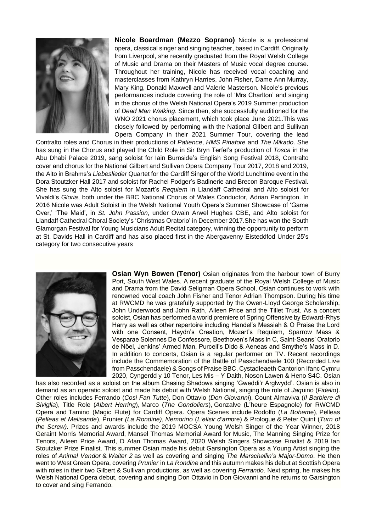

**Nicole Boardman (Mezzo Soprano)** Nicole is a professional opera, classical singer and singing teacher, based in Cardiff. Originally from Liverpool, she recently graduated from the Royal Welsh College of Music and Drama on their Masters of Music vocal degree course. Throughout her training, Nicole has received vocal coaching and masterclasses from Kathryn Harries, John Fisher, Dame Ann Murray, Mary King, Donald Maxwell and Valerie Masterson. Nicole's previous performances include covering the role of 'Mrs Charlton' and singing in the chorus of the Welsh National Opera's 2019 Summer production of *Dead Man Walking*. Since then, she successfully auditioned for the WNO 2021 chorus placement, which took place June 2021.This was closely followed by performing with the National Gilbert and Sullivan Opera Company in their 2021 Summer Tour, covering the lead

Contralto roles and Chorus in their productions of *Patience*, *HMS Pinafore* and *The Mikado*. She has sung in the Chorus and played the Child Role in Sir Bryn Terfel's production of *Tosca* in the Abu Dhabi Palace 2019, sang soloist for Iain Burnside's English Song Festival 2018, Contralto cover and chorus for the National Gilbert and Sullivan Opera Company Tour 2017, 2018 and 2019, the Alto in Brahms's *Liebeslieder* Quartet for the Cardiff Singer of the World Lunchtime event in the Dora Stoutzker Hall 2017 and soloist for Rachel Podger's Badinerie and Brecon Baroque Festival. She has sung the Alto soloist for Mozart's *Requiem* in Llandaff Cathedral and Alto soloist for Vivaldi's *Gloria*, both under the BBC National Chorus of Wales Conductor, Adrian Partington. In 2016 Nicole was Adult Soloist in the Welsh National Youth Opera's Summer Showcase of 'Game Over,' 'The Maid', in *St. John Passion*, under Owain Arwel Hughes CBE, and Alto soloist for Llandaff Cathedral Choral Society's 'Christmas Oratorio' in December 2017.She has won the South Glamorgan Festival for Young Musicians Adult Recital category, winning the opportunity to perform at St. Davids Hall in Cardiff and has also placed first in the Abergavenny Eisteddfod Under 25's category for two consecutive years



**Osian Wyn Bowen (Tenor)** Osian originates from the harbour town of Burry Port, South West Wales. A recent graduate of the Royal Welsh College of Music and Drama from the David Seligman Opera School, Osian continues to work with renowned vocal coach John Fisher and Tenor Adrian Thompson. During his time at RWCMD he was gratefully supported by the Owen-Lloyd George Scholarship, John Underwood and John Rath, Aileen Price and the Tillet Trust. As a concert soloist, Osian has performed a world premiere of Spring Offensive by Edward-Rhys Harry as well as other repertoire including Handel's Messiah & O Praise the Lord with one Consent, Haydn's Creation, Mozart's Requiem, Sparrow Mass & Vesparae Solennes De Confessore, Beethoven's Mass in C, Saint-Seans' Oratorio de Nöel, Jenkins' Armed Man, Purcell's Dido & Aeneas and Smythe's Mass in D. In addition to concerts, Osian is a regular performer on TV. Recent recordings include the Commemoration of the Battle of Passchendaele 100 (Recorded Live from Passchendaele) & Songs of Praise BBC, Cystadleaeth Cantorion Ifanc Cymru 2020, Cyngerdd y 10 Tenor, Les Mis – Y Daith, Noson Lawen & Heno S4C. Osian

has also recorded as a soloist on the album Chasing Shadows singing 'Gweddi'r Arglwydd'. Osian is also in demand as an operatic soloist and made his debut with Welsh National, singing the role of *Jaq*uino (*Fidelio*). Other roles includes Ferrando (*Cosi Fan Tutte*), Don Ottavio (*Don Giovanni*), Count Almaviva (*Il Barbiere di Siviglia*), Title Role (*Albert Herring*), Marco (*The Gondoliers*), Gonzalve (L'heure Espagnole) for RWCMD Opera and Tamino (Magic Flute) for Cardiff Opera. Opera Scenes include Rodolfo (*La Bohem*e), Pelleas (*Pelleas et Melisande*), Prunier *(La Rondine)*, *Nemorino* (*L'elisir d'am*ore) & Prologue *&* Peter Quint (*Turn of the Screw)*. Prizes and awards include the 2019 MOCSA Young Welsh Singer of the Year Winner, 2018 Geraint Morris Memorial Award, Mansel Thomas Memorial Award for Music, The Manning Singing Prize for Tenors, Aileen Price Award, D Afan Thomas Award, 2020 Welsh Singers Showcase Finalist & 2019 Ian Stoutzker Prize Finalist. This summer Osian made his debut Garsington Opera as a Young Artist singing the roles of *Animal Vendor* & *Waiter 2* as well as covering and singing *The Marschallin's Major-Domo*. He then went to West Green Opera, covering *Prunier* in *La Rondine* and this autumn makes his debut at Scottish Opera with roles in their two Gilbert & Sullivan productions, as well as covering *Ferrando*. Next spring, he makes his Welsh National Opera debut, covering and singing Don Ottavio in Don Giovanni and he returns to Garsington to cover and sing Ferrando.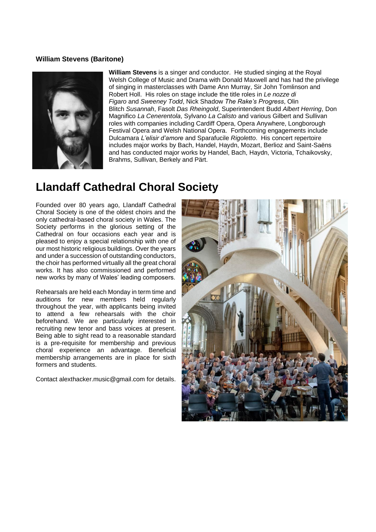#### **William Stevens (Baritone)**



**William Stevens** is a singer and conductor. He studied singing at the Royal Welsh College of Music and Drama with Donald Maxwell and has had the privilege of singing in masterclasses with Dame Ann Murray, Sir John Tomlinson and Robert Holl. His roles on stage include the title roles in *Le nozze di Figaro* and *Sweeney Todd*, Nick Shadow *The Rake's Progress*, Olin Blitch *Susannah*, Fasolt *Das Rheingold*, Superintendent Budd *Albert Herring*, Don Magnifico *La Cenerentola*, Sylvano *La Calisto* and various Gilbert and Sullivan roles with companies including Cardiff Opera, Opera Anywhere, Longborough Festival Opera and Welsh National Opera. Forthcoming engagements include Dulcamara *L'elisir d'amore* and Sparafucile *Rigoletto*. His concert repertoire includes major works by Bach, Handel, Haydn, Mozart, Berlioz and Saint-Saëns and has conducted major works by Handel, Bach, Haydn, Victoria, Tchaikovsky, Brahms, Sullivan, Berkely and Pärt.

# **Llandaff Cathedral Choral Society**

Founded over 80 years ago, Llandaff Cathedral Choral Society is one of the oldest choirs and the only cathedral-based choral society in Wales. The Society performs in the glorious setting of the Cathedral on four occasions each year and is pleased to enjoy a special relationship with one of our most historic religious buildings. Over the years and under a succession of outstanding conductors, the choir has performed virtually all the great choral works. It has also commissioned and performed new works by many of Wales' leading composers.

Rehearsals are held each Monday in term time and auditions for new members held regularly throughout the year, with applicants being invited to attend a few rehearsals with the choir beforehand. We are particularly interested in recruiting new tenor and bass voices at present. Being able to sight read to a reasonable standard is a pre-requisite for membership and previous choral experience an advantage. Beneficial membership arrangements are in place for sixth formers and students.

Contact [alexthacker.music@gmail.com](mailto:alexthacker.music@gmail.com) for details.